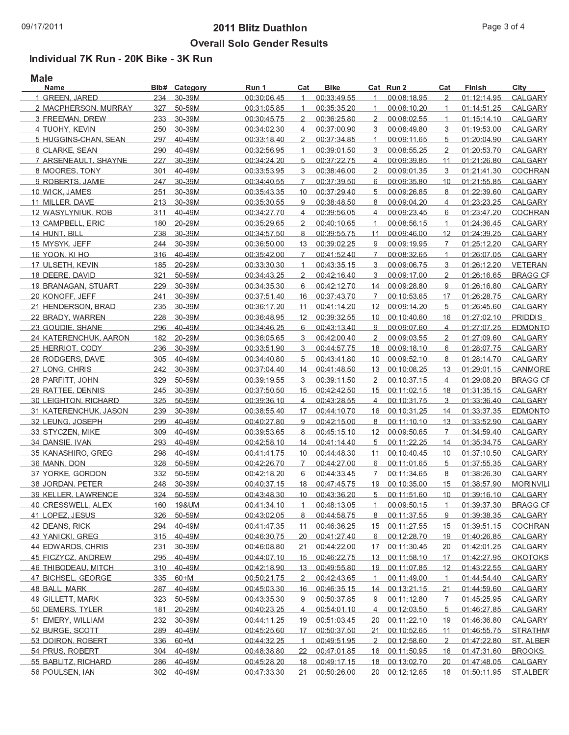## $\sim$  . The set of the set of the set of the set of the set of the set of the set of the set of the set of the set of the set of the set of the set of the set of the set of the set of the set of the set of the set of the s \_\_\_\_\_\_\_\_\_\_\_\_\_

## Individual 7K Run - 20K Bike - 3K Ruɪ

| Name                  | Bib#       | Category   | Run 1       | Cat            | Bike        |                   | Cat Run 2      | Cat            | Finish      | City            |
|-----------------------|------------|------------|-------------|----------------|-------------|-------------------|----------------|----------------|-------------|-----------------|
| 1 GREEN, JARED        | 234        | 30-39M     | 00:30:06.45 | $\mathbf 1$    | 00:33:49.55 | $\mathbf 1$       | 00:08:18.95    | $\overline{2}$ | 01:12:14.95 | CALGARY         |
| 2 MACPHERSON, MURRAY  | 327        | 50-59M     | 00:31:05.85 | $\mathbf{1}$   | 00:35:35.20 | $\mathbf 1$       | 00:08:10.20    | $\mathbf 1$    | 01:14:51.25 | CALGARY         |
| 3 FREEMAN, DREW       | 233        | 30-39M     | 00:30:45.75 | $\overline{2}$ | 00:36:25.80 | $\overline{2}$    | 00:08:02.55    | $\mathbf 1$    | 01:15:14.10 | CALGARY         |
| 4 TUOHY, KEVIN        | 250        | 30-39M     | 00:34:02.30 | $\overline{4}$ | 00:37:00.90 | 3                 | 00:08:49.80    | 3              | 01:19:53.00 | CALGARY         |
| 5 HUGGINS-CHAN, SEAN  | 297        | 40-49M     | 00:33:18.40 | $\overline{2}$ | 00:37:34.85 | $\mathbf{1}$      | 00:09:11.65    | 5              | 01:20:04.90 | CALGARY         |
| 6 CLARKE, SEAN        | 290        | 40-49M     | 00:32:56.95 | $\mathbf{1}$   | 00:39:01.50 | 3                 | 00:08:55.25    | $\overline{2}$ | 01.20.53.70 | CALGARY         |
| 7 ARSENEAULT, SHAYNE  | 227        | 30-39M     | 00:34:24.20 | 5              | 00:37:22.75 | $\overline{4}$    | 00:09:39.85    | 11             | 01:21:26.80 | CALGARY         |
| 8 MOORES, TONY        | 301        | 40-49M     | 00:33:53.95 | 3              | 00:38:46.00 | $\overline{2}$    | 00:09:01.35    | 3              | 01:21:41.30 | <b>COCHRAN</b>  |
| 9 ROBERTS, JAMIE      | 247        | 30-39M     | 00:34:40.55 | 7              | 00:37:39.50 | 6                 | 00:09:35.80    | 10             | 01:21:55.85 | CALGARY         |
| 10 WICK, JAMES        | 251        | 30-39M     | 00:35:43.35 | 10             | 00:37:29.40 | 5                 | 00:09:26.85    | 8              | 01:22:39.60 | CALGARY         |
| 11 MILLER, DAVE       | 213        | 30-39M     | 00:35:30.55 | 9              | 00:38:48.50 | 8                 | 00:09:04.20    | $\overline{4}$ | 01:23:23.25 | CALGARY         |
| 12 WASYLYNIUK, ROB    | 311        | 40-49M     | 00:34:27.70 | $\overline{4}$ | 00:39:56.05 | $\overline{4}$    | 00:09:23.45    | 6              | 01:23:47.20 | <b>COCHRAN</b>  |
| 13 CAMPBELL, ERIC     | 180        | 20-29M     | 00:35:29.65 | $\overline{2}$ | 00:40:10.65 | $\mathbf{1}$      | 00:08:56.15    | $\mathbf{1}$   | 01:24:36.45 | CALGARY         |
| 14 HUNT, BILL         | 238        | 30-39M     | 00:34:57.50 | 8              | 00:39:55.75 | 11                | 00:09:46.00    | 12             | 01:24:39.25 | CALGARY         |
| 15 MYSYK, JEFF        | 244        | 30-39M     | 00:36:50.00 | 13             | 00:39:02.25 | 9                 | 00:09:19.95    | $\overline{7}$ | 01:25:12.20 | CALGARY         |
| 16 YOON, KI HO        | 316        | 40-49M     | 00:35:42.00 | $\overline{7}$ | 00:41:52.40 | $\overline{7}$    | 00:08:32.65    | $\mathbf 1$    | 01:26:07.05 | CALGARY         |
| 17 ULSETH, KEVIN      | 185        | 20-29M     | 00:33:30.30 | $\mathbf 1$    | 00:43:35.15 | 3                 | 00:09:06.75    | 3              | 01:26:12.20 | <b>VETERAN</b>  |
| 18 DEERE, DAVID       | 321        | 50-59M     | 00:34:43.25 | $\overline{2}$ | 00:42:16.40 | 3                 | 00:09:17.00    | $\overline{2}$ | 01.26.16.65 | <b>BRAGG CI</b> |
| 19 BRANAGAN, STUART   | 229        | 30-39M     | 00:34:35.30 | 6              | 00:42:12.70 | 14                | 00:09:28.80    | 9              | 01:26:16.80 | CALGARY         |
| 20 KONOFF, JEFF       | 241        | 30-39M     | 00:37:51.40 | 16             | 00:37:43.70 | $\overline{7}$    | 00:10:53.65    | 17             | 01.26.28.75 | CALGARY         |
| 21 HENDERSON, BRAD    | 235        | 30-39M     | 00:36:17.20 | 11             | 00:41:14.20 | 12                | 00:09:14.20    | 5              | 01:26:45.60 | CALGARY         |
| 22 BRADY, WARREN      | 228        | 30-39M     | 00:36:48.95 | 12             | 00:39:32.55 | 10                | 00:10:40.60    | 16             | 01:27:02.10 | <b>PRIDDIS</b>  |
| 23 GOUDIE, SHANE      | 296        | 40-49M     | 00:34:46.25 | 6              | 00:43:13.40 | 9                 | 00:09:07.60    | $\overline{4}$ | 01:27:07.25 | EDMONTO         |
| 24 KATERENCHUK, AARON |            | 182 20-29M | 00:36:05.65 | 3              | 00:42:00.40 | $\overline{2}$    | 00:09:03.55    | 2              | 01:27:09.60 | CALGARY         |
| 25 HERRIOT, CODY      | 236        | 30-39M     | 00:33:51.90 | 3              | 00:44:57.75 | 18                | 00:09:18.10    | 6              | 01.28.07.75 | CALGARY         |
| 26 RODGERS, DAVE      | 305        | 40-49M     | 00:34:40.80 | 5              | 00:43:41.80 | 10                | 00:09:52.10    | 8              | 01:28:14.70 | CALGARY         |
| 27 LONG, CHRIS        | 242        | 30-39M     | 00:37:04.40 | 14             | 00:41:48.50 | 13                | 00:10:08.25    | 13             | 01:29:01.15 | CANMORE         |
| 28 PARFITT, JOHN      | 329        | 50-59M     | 00:39:19.55 | 3              | 00:39:11.50 | $\overline{2}$    | 00:10:37.15    | $\overline{4}$ | 01:29:08.20 | <b>BRAGG CI</b> |
| 29 RATTEE, DENNIS     | 245        | 30-39M     | 00:37:50.50 | 15             | 00:42:42.50 | 15                | 00:11:02.15    | 18             | 01:31:35.15 | CALGARY         |
| 30 LEIGHTON, RICHARD  | 325        | 50-59M     | 00:39:36.10 | $\overline{4}$ | 00:43:28.55 | $\overline{4}$    | 00:10:31.75    | 3              | 01.33.36.40 | CALGARY         |
| 31 KATERENCHUK, JASON | 239        | 30-39M     | 00:38:55.40 | 17             | 00:44:10.70 | 16                | 00:10:31.25    | 14             | 01:33:37.35 | <b>EDMONTO</b>  |
|                       | 299        | 40-49M     | 00:40:27.80 | 9              | 00:42:15.00 |                   | 00:11:10.10    |                |             |                 |
| 32 LEUNG, JOSEPH      |            |            |             |                |             | 8                 |                | 13<br>7        | 01:33:52.90 | CALGARY         |
| 33 STYCZEN, MIKE      | 309        | 40-49M     | 00:39:53.65 | 8              | 00:45:15.10 | $12 \overline{ }$ | 00:09:50.65    |                | 01:34:59.40 | CALGARY         |
| 34 DANSIE, IVAN       | 293        | 40-49M     | 00:42:58.10 | 14             | 00:41:14.40 | 5                 | 00:11:22.25    | 14             | 01:35:34.75 | CALGARY         |
| 35 KANASHIRO, GREG    | 298<br>328 | 40-49M     | 00:41:41.75 | 10             | 00:44:48.30 | 11                | 00:10:40.45    | 10             | 01:37:10.50 | CALGARY         |
| 36 MANN, DON          |            | 50-59M     | 00:42:26.70 | $\overline{7}$ | 00:44:27.00 | 6                 | 00:11:01.65    | 5              | 01:37:55.35 | CALGARY         |
| 37 YORKE, GORDON      | 332        | 50-59M     | 00:42:18.20 | 6              | 00:44:33.45 | $\overline{7}$    | 00:11:34.65    | 8              | 01:38:26.30 | CALGARY         |
| 38 JORDAN, PETER      | 248        | 30-39M     | 00:40:37.15 | 18             | 00:47:45.75 | 19                | 00:10:35.00    | 15             | 01:38:57.90 | <b>MORINVIL</b> |
| 39 KELLER, LAWRENCE   |            | 324 50-59M | 00:43:48.30 | 10             | 00:43:36.20 | 5<br>1            | 00:11:51.60    | 10             | 01:39:16.10 | CALGARY         |
| 40 CRESSWELL, ALEX    | 160        | 19&UM      | 00:41:34.10 |                | 00:48:13.05 |                   | 00:09:50.15    |                | 01:39:37.30 | <b>BRAGG CI</b> |
| 41 LOPEZ, JESUS       | 326        | 50-59M     | 00:43:02.05 | 8              | 00:44:58.75 | 8                 | 00:11:37.55    | 9              | 01:39:38.35 | CALGARY         |
| 42 DEANS, RICK        | 294        | 40-49M     | 00:41:47.35 | 11             | 00:46:36.25 | 15                | 00:11:27.55    | 15             | 01:39:51.15 | <b>COCHRAN</b>  |
| 43 YANICKI, GREG      |            | 315 40-49M | 00:46:30.75 | 20             | 00:41:27.40 | 6                 | 00:12:28.70    | 19             | 01:40:26.85 | CALGARY         |
| 44 EDWARDS, CHRIS     | 231        | 30-39M     | 00:46:08.80 | 21             | 00:44:22.00 | 17                | 00:11:30.45    | 20             | 01:42:01.25 | CALGARY         |
| 45 FICZYCZ, ANDREW    | 295        | 40-49M     | 00:44:07.10 | 15             | 00:46:22.75 | 13                | 00:11:58.10    | 17             | 01:42:27.95 | <b>OKOTOKS</b>  |
| 46 THIBODEAU, MITCH   | 310        | 40-49M     | 00.42.18.90 | 13             | 00:49:55.80 | 19                | 00:11:07.85    | 12             | 01:43:22.55 | CALGARY         |
| 47 BICHSEL, GEORGE    | 335        | $60+M$     | 00:50:21.75 | 2              | 00:42:43.65 | $\mathbf{1}$      | 00:11:49.00    | 1              | 01:44:54.40 | CALGARY         |
| 48 BALL, MARK         | 287        | 40-49M     | 00:45:03.30 | 16             | 00:46:35.15 | 14                | 00:13:21.15    | 21             | 01:44:59.60 | CALGARY         |
| 49 GILLETT, MARK      | 323        | 50-59M     | 00:43:35.30 | 9              | 00:50:37.85 | 9                 | 00:11:12.80    | 7              | 01:45:25.95 | CALGARY         |
| 50 DEMERS, TYLER      | 181        | 20-29M     | 00:40:23.25 | 4              | 00:54:01.10 | 4                 | 00:12:03.50    | 5              | 01:46:27.85 | CALGARY         |
| 51 EMERY, WILLIAM     | 232        | 30-39M     | 00:44:11.25 | 19             | 00:51:03.45 | 20                | 00:11:22.10    | 19             | 01:46:36.80 | CALGARY         |
| 52 BURGE, SCOTT       | 289        | 40-49M     | 00:45:25.60 | 17             | 00:50:37.50 |                   | 21 00:10:52.65 | 11             | 01:46:55.75 | <b>STRATHM</b>  |
| 53 DOIRON, ROBERT     | 336        | $60+M$     | 00:44:32.25 | $\mathbf{1}$   | 00:49:51.95 | $\overline{2}$    | 00:12:58.60    | $\overline{2}$ | 01:47:22.80 | ST. ALBEF       |
| 54 PRUS ROBERT        | 304        | 40-49M     | 00:48:38.80 | 22             | 00:47:01.85 |                   | 16 00:11:50.95 | 16             | 01:47:31.60 | <b>BROOKS</b>   |
| 55 BABLITZ, RICHARD   | 286        | 40-49M     | 00:45:28.20 | 18             | 00:49:17.15 |                   | 18 00:13:02.70 | 20             | 01:47:48.05 | CALGARY         |
| 56 POULSEN, IAN       | 302        | 40-49M     | 00:47:33.30 | 21             | 00:50:26.00 |                   | 20 00:12:12.65 | 18             | 01.50.11.95 | <b>STALBER</b>  |